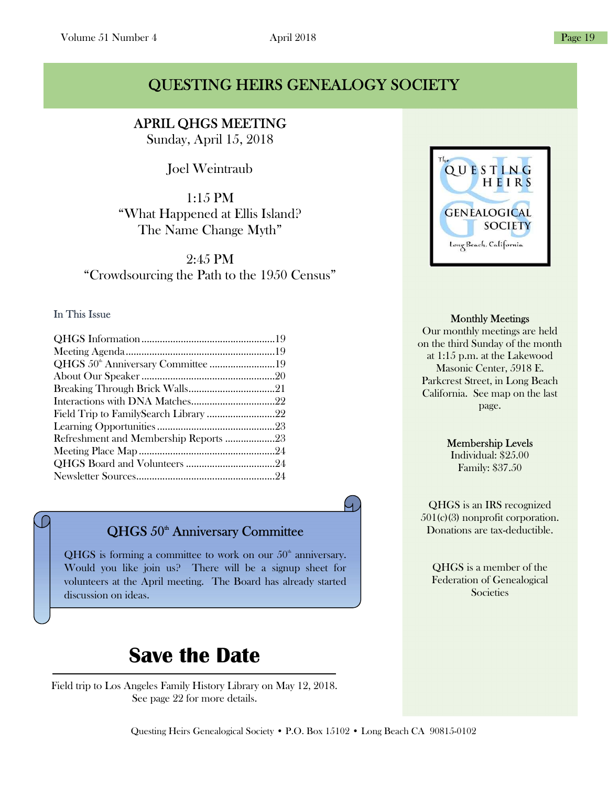### QUESTING HEIRS GENEALOGY SOCIETY

APRIL QHGS MEETING Sunday, April 15, 2018

Ĩ

Joel Weintraub

1:15 PM "What Happened at Ellis Island? The Name Change Myth"

2:45 PM "Crowdsourcing the Path to the 1950 Census"

### In This Issue

| QHGS 50 <sup>th</sup> Anniversary Committee 19 |  |
|------------------------------------------------|--|
|                                                |  |
|                                                |  |
|                                                |  |
|                                                |  |
|                                                |  |
| Refreshment and Membership Reports 23          |  |
|                                                |  |
|                                                |  |
|                                                |  |
|                                                |  |

QHGS 50<sup>th</sup> Anniversary Committee

QHGS is forming a committee to work on our  $50<sup>th</sup>$  anniversary. Would you like join us? There will be a signup sheet for volunteers at the April meeting. The Board has already started discussion on ideas.

# Save the Date

Field trip to Los Angeles Family History Library on May 12, 2018. See page 22 for more details.



### Monthly Meetings

Our monthly meetings are held on the third Sunday of the month at 1:15 p.m. at the Lakewood Masonic Center, 5918 E. Parkcrest Street, in Long Beach California. See map on the last page.

### Membership Levels

Individual: \$25.00 Family: \$37.50

QHGS is an IRS recognized 501(c)(3) nonprofit corporation. Donations are tax-deductible.

QHGS is a member of the Federation of Genealogical **Societies**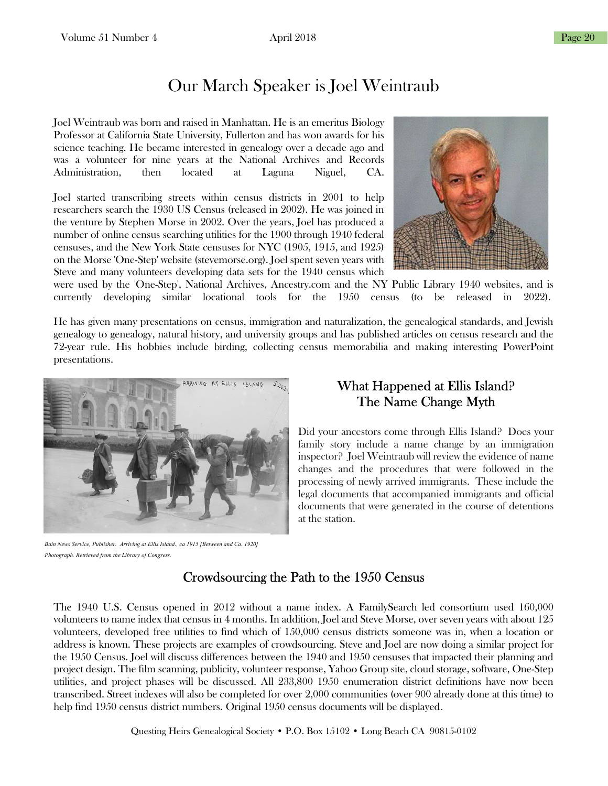## Our March Speaker is Joel Weintraub

Joel Weintraub was born and raised in Manhattan. He is an emeritus Biology Professor at California State University, Fullerton and has won awards for his science teaching. He became interested in genealogy over a decade ago and was a volunteer for nine years at the National Archives and Records Administration, then located at Laguna Niguel, CA.

Joel started transcribing streets within census districts in 2001 to help researchers search the 1930 US Census (released in 2002). He was joined in the venture by Stephen Morse in 2002. Over the years, Joel has produced a number of online census searching utilities for the 1900 through 1940 federal censuses, and the New York State censuses for NYC (1905, 1915, and 1925) on the Morse 'One-Step' website (stevemorse.org). Joel spent seven years with Steve and many volunteers developing data sets for the 1940 census which



were used by the 'One-Step', National Archives, Ancestry.com and the NY Public Library 1940 websites, and is currently developing similar locational tools for the 1950 census (to be released in 2022).

He has given many presentations on census, immigration and naturalization, the genealogical standards, and Jewish genealogy to genealogy, natural history, and university groups and has published articles on census research and the 72-year rule. His hobbies include birding, collecting census memorabilia and making interesting PowerPoint presentations.



Bain News Service, Publisher. Arriving at Ellis Island., ca 1915 [Between and Ca. 1920] Photograph. Retrieved from the Library of Congress.

### What Happened at Ellis Island? The Name Change Myth

Did your ancestors come through Ellis Island? Does your family story include a name change by an immigration inspector? Joel Weintraub will review the evidence of name changes and the procedures that were followed in the processing of newly arrived immigrants. These include the legal documents that accompanied immigrants and official documents that were generated in the course of detentions at the station.

### Crowdsourcing the Path to the 1950 Census

The 1940 U.S. Census opened in 2012 without a name index. A FamilySearch led consortium used 160,000 volunteers to name index that census in 4 months. In addition, Joel and Steve Morse, over seven years with about 125 volunteers, developed free utilities to find which of 150,000 census districts someone was in, when a location or address is known. These projects are examples of crowdsourcing. Steve and Joel are now doing a similar project for the 1950 Census. Joel will discuss differences between the 1940 and 1950 censuses that impacted their planning and project design. The film scanning, publicity, volunteer response, Yahoo Group site, cloud storage, software, One-Step utilities, and project phases will be discussed. All 233,800 1950 enumeration district definitions have now been transcribed. Street indexes will also be completed for over 2,000 communities (over 900 already done at this time) to help find 1950 census district numbers. Original 1950 census documents will be displayed.

Questing Heirs Genealogical Society • P.O. Box 15102 • Long Beach CA 90815-0102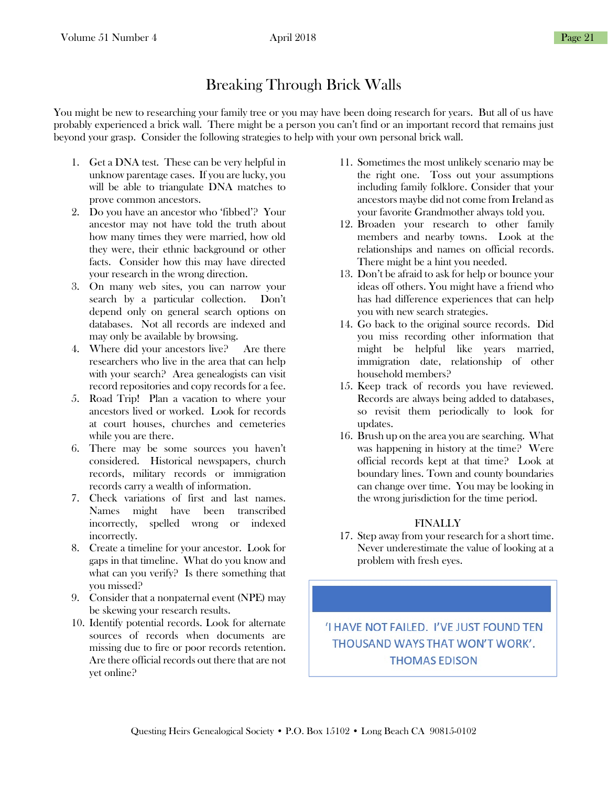### Breaking Through Brick Walls

You might be new to researching your family tree or you may have been doing research for years. But all of us have probably experienced a brick wall. There might be a person you can't find or an important record that remains just beyond your grasp. Consider the following strategies to help with your own personal brick wall.

- 1. Get a DNA test. These can be very helpful in unknow parentage cases. If you are lucky, you will be able to triangulate DNA matches to prove common ancestors.
- 2. Do you have an ancestor who 'fibbed'? Your ancestor may not have told the truth about how many times they were married, how old they were, their ethnic background or other facts. Consider how this may have directed your research in the wrong direction.
- 3. On many web sites, you can narrow your search by a particular collection. Don't depend only on general search options on databases. Not all records are indexed and may only be available by browsing.
- 4. Where did your ancestors live? Are there researchers who live in the area that can help with your search? Area genealogists can visit record repositories and copy records for a fee.
- 5. Road Trip! Plan a vacation to where your ancestors lived or worked. Look for records at court houses, churches and cemeteries while you are there.
- 6. There may be some sources you haven't considered. Historical newspapers, church records, military records or immigration records carry a wealth of information.
- 7. Check variations of first and last names. Names might have been transcribed incorrectly, spelled wrong or indexed incorrectly.
- 8. Create a timeline for your ancestor. Look for gaps in that timeline. What do you know and what can you verify? Is there something that you missed?
- 9. Consider that a nonpaternal event (NPE) may be skewing your research results.
- 10. Identify potential records. Look for alternate sources of records when documents are missing due to fire or poor records retention. Are there official records out there that are not yet online?
- 11. Sometimes the most unlikely scenario may be the right one. Toss out your assumptions including family folklore. Consider that your ancestors maybe did not come from Ireland as your favorite Grandmother always told you.
- 12. Broaden your research to other family members and nearby towns. Look at the relationships and names on official records. There might be a hint you needed.
- 13. Don't be afraid to ask for help or bounce your ideas off others. You might have a friend who has had difference experiences that can help you with new search strategies.
- 14. Go back to the original source records. Did you miss recording other information that might be helpful like years married, immigration date, relationship of other household members?
- 15. Keep track of records you have reviewed. Records are always being added to databases, so revisit them periodically to look for updates.
- 16. Brush up on the area you are searching. What was happening in history at the time? Were official records kept at that time? Look at boundary lines. Town and county boundaries can change over time. You may be looking in the wrong jurisdiction for the time period.

### FINALLY

17. Step away from your research for a short time. Never underestimate the value of looking at a problem with fresh eyes.

'I HAVE NOT FAILED. I'VE JUST FOUND TEN THOUSAND WAYS THAT WON'T WORK'. **THOMAS EDISON**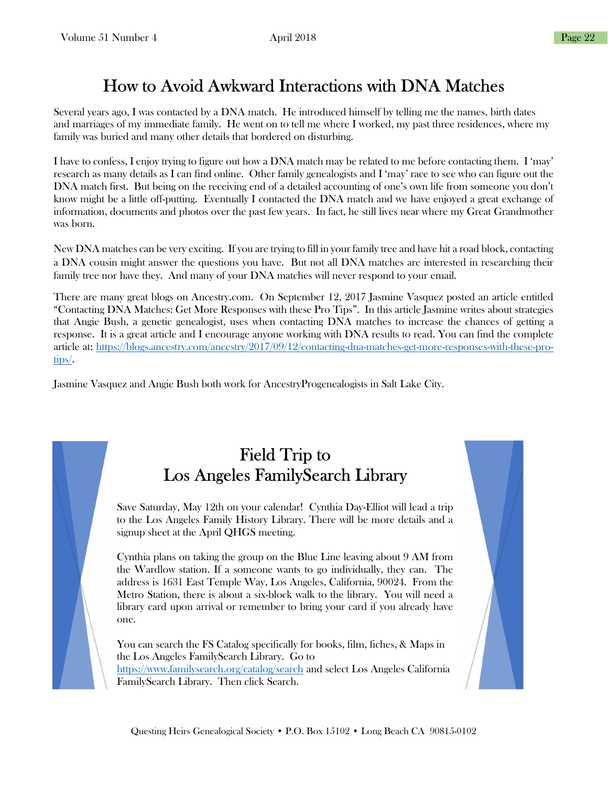## How to Avoid Awkward Interactions with DNA Matches

Several years ago, I was contacted by a DNA match. He introduced himself by telling me the names, birth dates and marriages of my immediate family. He went on to tell me where I worked, my past three residences, where my family was buried and many other details that bordered on disturbing.

I have to confess, I enjoy trying to figure out how a DNA match may be related to me before contacting them. I 'may' research as many details as I can find online. Other family genealogists and I 'may' race to see who can figure out the DNA match first. But being on the receiving end of a detailed accounting of one's own life from someone you don't know might be a little off-putting. Eventually I contacted the DNA match and we have enjoyed a great exchange of information, documents and photos over the past few years. In fact, he still lives near where my Great Grandmother was born.

New DNA matches can be very exciting. If you are trying to fill in your family tree and have hit a road block, contacting a DNA cousin might answer the questions you have. But not all DNA matches are interested in researching their family tree nor have they. And many of your DNA matches will never respond to your email.

There are many great blogs on Ancestry.com. On September 12, 2017 Jasmine Vasquez posted an article entitled "Contacting DNA Matches: Get More Responses with these Pro Tips". In this article Jasmine writes about strategies that Angie Bush, a genetic genealogist, uses when contacting DNA matches to increase the chances of getting a response. It is a great article and I encourage anyone working with DNA results to read. You can find the complete article at: https://blogs.ancestry.com/ancestry/2017/09/12/contacting-dna-matches-get-more-responses-with-these-protips/.

Jasmine Vasquez and Angie Bush both work for AncestryProgenealogists in Salt Lake City.

## Field Trip to Los Angeles FamilySearch Library

Save Saturday, May 12th on your calendar! Cynthia Day-Elliot will lead a trip to the Los Angeles Family History Library. There will be more details and a signup sheet at the April QHGS meeting.

Cynthia plans on taking the group on the Blue Line leaving about 9 AM from the Wardlow station. If a someone wants to go individually, they can. The address is 1631 East Temple Way, Los Angeles, California, 90024. From the Metro Station, there is about a six-block walk to the library. You will need a library card upon arrival or remember to bring your card if you already have one.

You can search the FS Catalog specifically for books, film, fiches, & Maps in the Los Angeles FamilySearch Library. Go to https://www.familysearch.org/catalog/search and select Los Angeles California FamilySearch Library. Then click Search.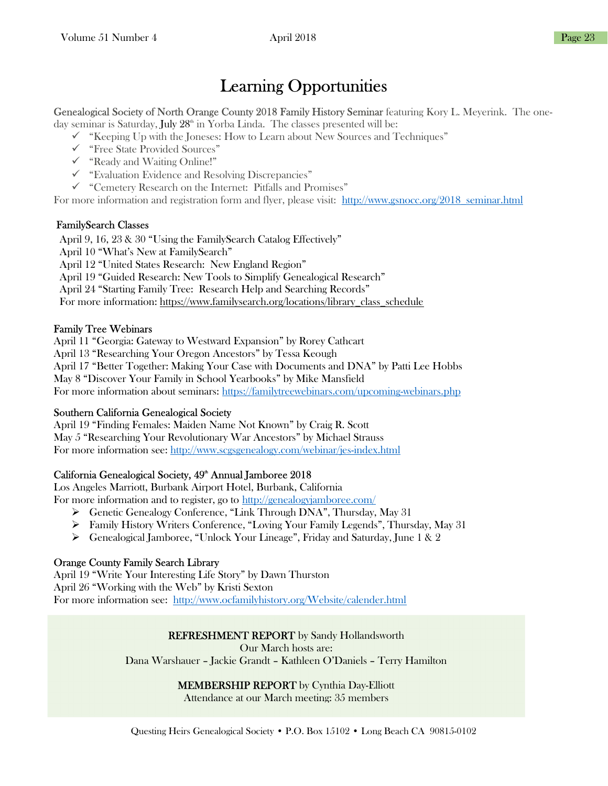## Learning Opportunities

Genealogical Society of North Orange County 2018 Family History Seminar featuring Kory L. Meyerink. The one-

day seminar is Saturday, July  $28<sup>th</sup>$  in Yorba Linda. The classes presented will be:

 $\checkmark$  "Keeping Up with the Joneses: How to Learn about New Sources and Techniques"

- "Free State Provided Sources"
- "Ready and Waiting Online!"
- $\checkmark$  "Evaluation Evidence and Resolving Discrepancies"
- "Cemetery Research on the Internet: Pitfalls and Promises"

For more information and registration form and flyer, please visit: http://www.gsnocc.org/2018\_seminar.html

### FamilySearch Classes

April 9, 16, 23 & 30 "Using the FamilySearch Catalog Effectively" April 10 "What's New at FamilySearch" April 12 "United States Research: New England Region" April 19 "Guided Research: New Tools to Simplify Genealogical Research" April 24 "Starting Family Tree: Research Help and Searching Records" For more information: https://www.familysearch.org/locations/library\_class\_schedule

### Family Tree Webinars

April 11 "Georgia: Gateway to Westward Expansion" by Rorey Cathcart

April 13 "Researching Your Oregon Ancestors" by Tessa Keough

April 17 "Better Together: Making Your Case with Documents and DNA" by Patti Lee Hobbs

May 8 "Discover Your Family in School Yearbooks" by Mike Mansfield

For more information about seminars: https://familytreewebinars.com/upcoming-webinars.php

### Southern California Genealogical Society

April 19 "Finding Females: Maiden Name Not Known" by Craig R. Scott May 5 "Researching Your Revolutionary War Ancestors" by Michael Strauss For more information see: http://www.scgsgenealogy.com/webinar/jes-index.html

### California Genealogical Society, 49<sup>th</sup> Annual Jamboree 2018

Los Angeles Marriott, Burbank Airport Hotel, Burbank, California

For more information and to register, go to http://genealogyjamboree.com/

- Genetic Genealogy Conference, "Link Through DNA", Thursday, May 31
- Family History Writers Conference, "Loving Your Family Legends", Thursday, May 31
- $\triangleright$  Genealogical Jamboree, "Unlock Your Lineage", Friday and Saturday, June 1 & 2

### Orange County Family Search Library

April 19 "Write Your Interesting Life Story" by Dawn Thurston April 26 "Working with the Web" by Kristi Sexton For more information see: http://www.ocfamilyhistory.org/Website/calender.html

### REFRESHMENT REPORT by Sandy Hollandsworth

Our March hosts are:

Dana Warshauer – Jackie Grandt – Kathleen O'Daniels – Terry Hamilton

### MEMBERSHIP REPORT by Cynthia Day-Elliott

Attendance at our March meeting: 35 members